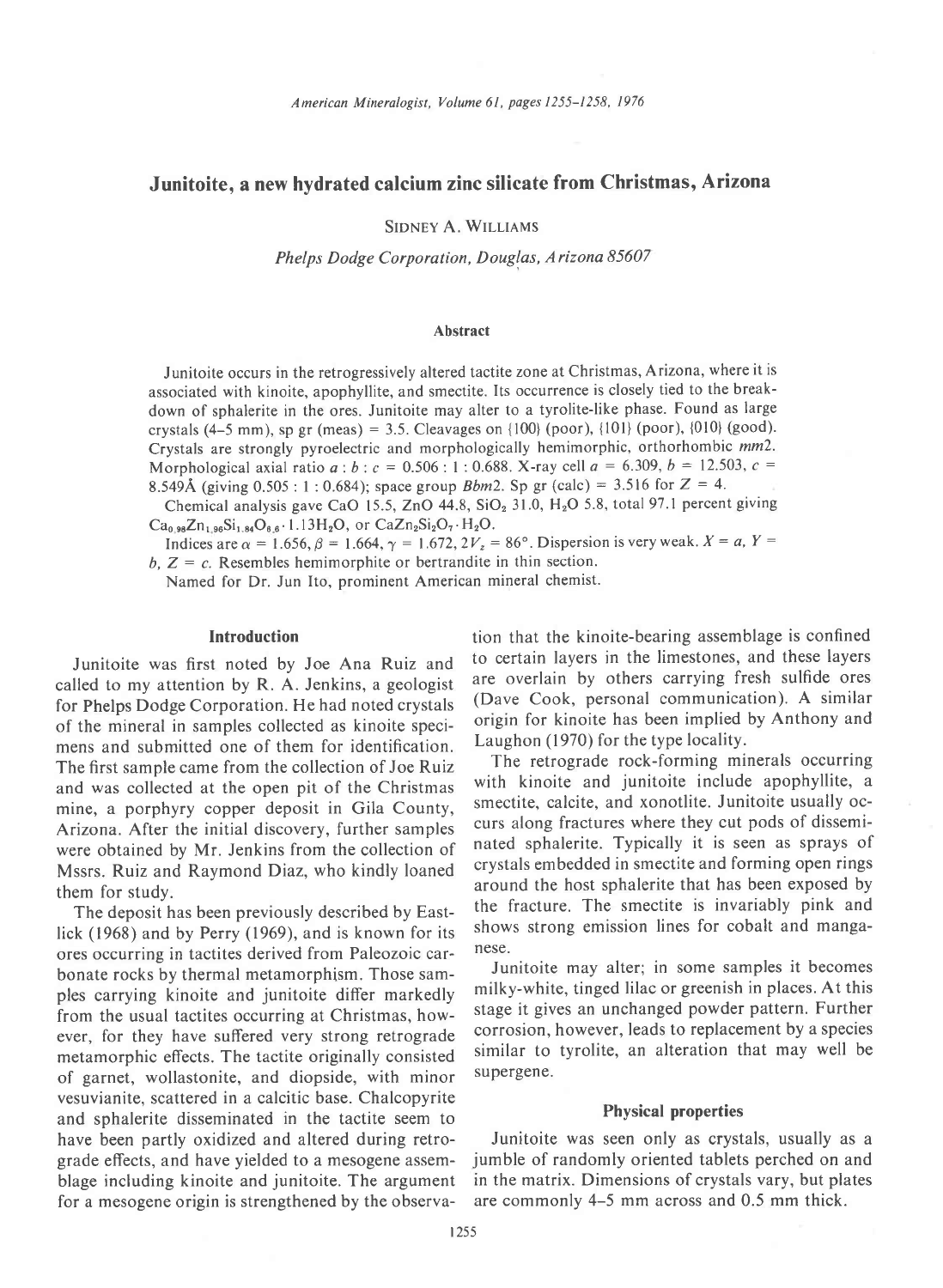# Junitoite, a new hydrated calcium zinc silicate from Christmas, Arizona

SIDNEY A. WILLIAMS

Phelps Dodge Corporation, Douglas, Arizona 85607

#### Abstract

Junitoite occurs in the retrogressively altered tactite zone at Christmas, Arizona, where it is associated with kinoite, apophyllite, and smectite. Its occurrence is closely tied to the breakdown of sphalerite in the ores. Junitoite may alter to a tyrolite-like phase. Found as large crystals (4-5 mm), sp gr (meas) = 3.5. Cleavages on  $\{100\}$  (poor),  $\{101\}$  (poor),  $\{010\}$  (good). Crystals are strongly pyroelectric and morphologically hemimorphic, orthorhombic mm7. Morphological axial ratio  $a : b : c = 0.506 : 1 : 0.688$ . X-ray cell  $a = 6.309$ ,  $b = 12.503$ ,  $c =$ 8.549Å (giving  $0.505 : 1 : 0.684$ ); space group *Bbm2*. Sp gr (calc) = 3.516 for Z = 4.

Chemical analysis gave CaO 15.5, ZnO 44.8,  $SiO<sub>2</sub>$  31.0, H<sub>2</sub>O 5.8, total 97.1 percent giving  $Ca<sub>0.98</sub>Zn<sub>1.96</sub>Si<sub>1.84</sub>O<sub>6.6</sub>·1.13H<sub>2</sub>O, or CaZn<sub>2</sub>Si<sub>2</sub>O<sub>7</sub>·H<sub>2</sub>O.$ 

Indices are  $\alpha=1.656$ ,  $\beta=1.664$ ,  $\gamma=1.672$ ,  $2V_z=86^\circ$ . Dispersion is very weak.  $X=a$ ,  $Y=a$ . b,  $Z = c$ . Resembles hemimorphite or bertrandite in thin section.

Named for Dr. Jun lto, prominent American mineral chemist.

#### Introduction

Junitoite was first noted by Joe Ana Ruiz and called to my attention by R. A. Jenkins, a geologist for Phelps Dodge Corporation. He had noted crystals of the mineral in samples collected as kinoite specimens and submitted one of them for identification. The first sample came from the collection of Joe Ruiz and was collected at the open pit of the Christmas mine, a porphyry copper deposit in Gila County, Arizona. After the initial discovery, further samples were obtained by Mr. Jenkins from the collection of Mssrs. Ruiz and Raymond Diaz, who kindly loaned them for study.

The deposit has been previously described by Eastlick (1968) and by Perry (1969), and is known for its ores occurring in tactites derived from Paleozoic carbonate rocks by thermal metamorphism. Those samples carrying kinoite and junitoite differ markedly from the usual tactites occurring at Christmas, however, for they have suffered very strong retrograde metamorphic effects. The tactite originally consisted of garnet, wollastonite, and diopside, with minor vesuvianite, scattered in a calcitic base. Chalcopyrite and sphalerite disseminated in the tactite seem to have been partly oxidized and altered during retrograde effects, and have yielded to a mesogene assemblage including kinoite and junitoite. The argument for a mesogene origin is strengthened by the observation that the kinoite-bearing assemblage is confined to certain layers in the limestones, and these layers are overlain by others carrying fresh sulfide ores (Dave Cook, personal communication). A similar origin for kinoite has been implied by Anthony and Laughon (1970) for the type locality.

The retrograde rock-forming minerals occurring with kinoite and junitoite include apophyllite, a smectite, calcite, and xonotlite. Junitoite usually occurs along fractures where they cut pods of disseminated sphalerite. Typically it is seen as sprays of crystals embedded in smectite and forming open rings around the host sphalerite that has been exposed by the fracture. The smectite is invariably pink and shows strong emission lines for cobalt and manganese.

Junitoite may alter; in some samples it becomes milky-white, tinged lilac or greenish in places. At this stage it gives an unchanged powder pattern. Further corrosion, however, leads to replacement by a species similar to tyrolite, an alteration that may well be supergene.

# Physical properties

Junitoite was seen only as crystals, usually as a jumble of randomly oriented tablets perched on and in the matrix. Dimensions of crystals vary, but plates are commonly 4-5 mm across and 0.5 mm thick.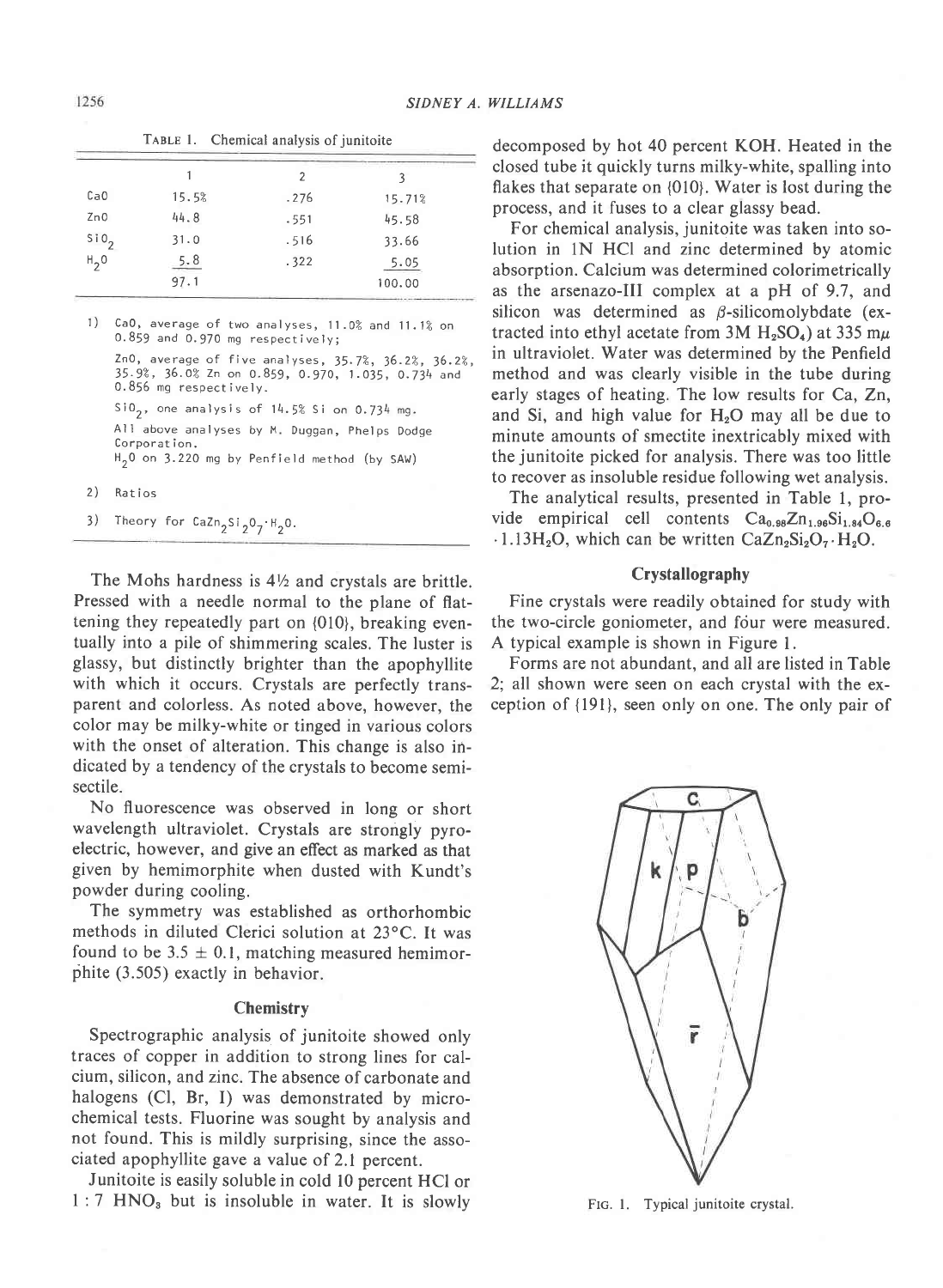|                                           |       | 2    | ર      |  |
|-------------------------------------------|-------|------|--------|--|
| CaO                                       | 15.5% | .276 | 15.71% |  |
| Zn0                                       | 44.8  | .551 | 45.58  |  |
| $\overline{\phantom{0}}$ sio <sub>2</sub> | 31.0  | .516 | 33.66  |  |
| $H_2$ 0                                   | 5.8   | .322 | 5.05   |  |
|                                           | 97.1  |      | 100.00 |  |
|                                           |       |      |        |  |

1) CaO, average of two analyses, 11.0% and 11.1% on 0,859 and 0.970 mg respectively; Zn0, average of five analyses, 35.7%, 36.2%, 36.2%, 35.92, 36.0% Zn on 0.859, 0.970, 1.035, 0.734 ano 0.856 mg respect ively.  $\sin\theta_2$ , one analysis of 14.5% Si on 0.734 mg. All above analyses by M. Duggan, Phelps Dodge Corporat ion,  $H<sub>2</sub>0$  on 3.220 mg by Penfield method (by SAW)

- 2) Ratios
- Theory for CaZn<sub>2</sub>Si<sub>2</sub>0<sub>7</sub> H<sub>2</sub>0.

The Mohs hardness is  $4\frac{1}{2}$  and crystals are brittle. Pressed with a needle normal to the plane of flattening they repeatedly part on {010}, breaking eventually into a pile of shimmering scales. The luster is glassy, but distinctly brighter than the apophyllite with which it occurs. Crystals are perfectly transparent and colorless. As noted above, however, the color may be milky-white or tinged in various colors with the onset of alteration. This change is also indicated by a tendency of the crystals to become semisectile.

No fluorescence was observed in long or short wavelength ultraviolet. Crystals are strongly pyroelectric, however, and give an effect as marked as that given by hemimorphite when dusted with Kundt's powder during cooling.

The symmetry was established as orthorhombic methods in diluted Clerici solution at 23°C. It was found to be 3.5  $\pm$  0.1, matching measured hemimorphite  $(3.505)$  exactly in behavior.

### **Chemistry**

Spectrographic analysis of junitoite showed only traces of copper in addition to strong lines for calcium, silicon, and zinc. The absence of carbonate and halogens (Cl, Br, I) was demonstrated by microchemical tests. Fluorine was sought by analysis and not found. This is mildly surprising, since the associated apophyllite gave a value of 2.1 percent.

Junitoite is easily soluble in cold l0 percent HCI or 1 : 7 HNO<sub>3</sub> but is insoluble in water. It is slowly

TnsLe l. Chemical analysis of junitoite decomposed by hot 40 percent KOH. Heated in the closed tube it quickly turns milky-white, spalling into flakes that separate on {010}. Water is lost during the process, and it fuses to a clear glassy bead.

> For chemical analysis, junitoite was taken into solution in lN HCI and zinc determined by atomic absorption. Calcium was determined colorimetrically as the arsenazo-Ill complex at a pH of 9.7, and silicon was determined as  $\beta$ -silicomolybdate (extracted into ethyl acetate from 3M  $H_2SO_4$ ) at 335 m $\mu$ in ultraviolet. Water was determined by the Penfield method and was clearly visible in the tube during early stages of heating. The low results for Ca, Zn, and Si, and high value for  $H<sub>2</sub>O$  may all be due to minute amounts of smectite inextricably mixed with the junitoite picked for analysis. There was too little to recover as insoluble residue following wet analysis.

> The analytical results, presented in Table 1, provide empirical cell contents  $Ca_{0.98}Zn_{1.96}Si_{1.84}O_{6.6}$  $\cdot$  1.13H<sub>2</sub>O, which can be written CaZn<sub>2</sub>Si<sub>2</sub>O<sub>7</sub>  $\cdot$  H<sub>2</sub>O.

## Crystallography

Fine crystals were readily obtained for study with the two-circle goniometer, and four were measured. A typical example is shown in Figure l.

Forms are not abundant, and all are listed in Table 2; all shown were seen on each crystal with the exception of {l9l}, seen only on one. The only pair of



FIG. 1. Typical junitoite crystal.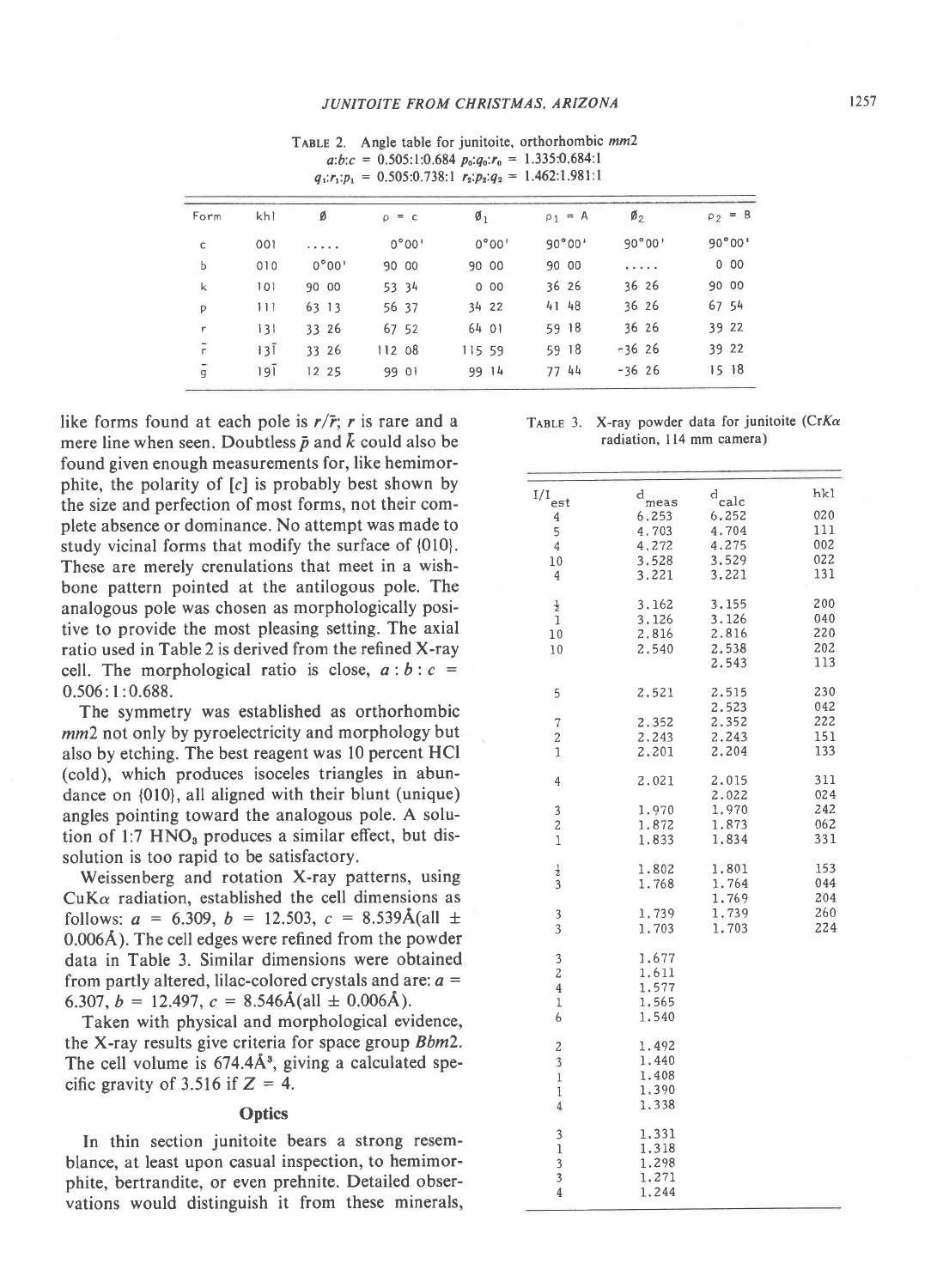|                | $q_1:r_1:p_1 = 0.505:0.738:1$ $r_2:p_2:q_2 = 1.462:1.981:1$ |       |            |        |              |                  |              |  |
|----------------|-------------------------------------------------------------|-------|------------|--------|--------------|------------------|--------------|--|
| Form           | khl                                                         | ø     | $\rho = c$ | Ø1     | $\rho_1 = A$ | $\mathfrak{g}_2$ | $\rho_2 = B$ |  |
| с              | 001                                                         | .     | 0°00'      | 0°00'  | 90°00'       | 90°00'           | 90°00'       |  |
| Ь              | 010                                                         | 0°00' | 90 00      | 90 00  | 90 00        | .                | 000          |  |
| k              | 101                                                         | 90 00 | 53 34      | 000    | 36 26        | 36 26            | 90 00        |  |
| p              | 111                                                         | 63 13 | 56 37      | 34 22  | 41 48        | 36 26            | 67 54        |  |
| r              | 131                                                         | 33 26 | 67 52      | 64 01  | 59 18        | 36 26            | 39 22        |  |
| F              | $13\overline{1}$                                            | 33 26 | 112 08     | 115 59 | 59 18        | $-3626$          | 39 22        |  |
| $\overline{g}$ | 191                                                         | 12 25 | 99 01      | 99 14  | 77 44        | $-36, 26$        | 15 18        |  |

TABLE 2. Angle table for junitoite, orthorhombic mm2  $a:b:c = 0.505:1:0.684$   $p_0:q_0:r_0 = 1.335:0.684:1$ 

like forms found at each pole is  $r/\bar{r}$ ; r is rare and a mere line when seen. Doubtless  $\bar{p}$  and  $\bar{k}$  could also be found given enough measurements for, like hemimorphite, the polarity of [c] is probably best shown by the size and perfection of most forms, not their complete absence or dominance. No attempt was made to study vicinal forms that modify the surface of {010}. These are merely crenulations that meet in a wishbone pattern pointed at the antilogous pole. The analogous pole was chosen as morphologically positive to provide the most pleasing setting. The axial ratio used in Table 2 is derived from the refined X-ray cell. The morphological ratio is close,  $a:b:c =$ 0.506: l:0.688.

The symmetry was established as orthorhombic mm<sub>2</sub> not only by pyroelectricity and morphology but also by etching. The best reagent was l0 percent HCI (cold), which produces isoceles triangles in abundance on {010}, all aligned with their blunt (unique) angles pointing toward the analogous pole. A solution of 1:7  $HNO<sub>3</sub>$  produces a similar effect, but dissolution is too rapid to be satisfactory.

Weissenberg and rotation X-ray patterns, using  $CuK\alpha$  radiation, established the cell dimensions as follows:  $a = 6.309$ ,  $b = 12.503$ ,  $c = 8.539\text{\AA}$ (all  $\pm$ 0.0064). The cell edges were refined from the powder data in Table 3. Similar dimensions were obtained from partly altered, lilac-colored crystals and are:  $a =$ 6.307,  $b = 12.497$ ,  $c = 8.546\text{\AA}$ (all  $\pm$  0.006Å).

Taken with physical and morphological evidence, the X-ray results give criteria for space group Bbm2. The cell volume is  $674.4\text{\AA}^3$ , giving a calculated specific gravity of 3.516 if  $Z = 4$ .

# **Optics**

In thin section junitoite bears a strong resemblance, at least upon casual inspection, to hemimorphite, bertrandite, or even prehnite. Detailed observations would distinguish it from these minerals,

TABLE 3. X-ray powder data for junitoite ( $CrK\alpha$ radiation, 114 mm camera)

| I/I<br>est<br>$\overline{4}$<br>5<br>4<br>10<br>$\overline{4}$     | d<br>meas<br>6.253<br>4.703<br>4,272<br>3.528<br>3,221 | $d_{calc}$<br>6.252<br>4.704<br>4.275<br>3.529<br>3,221 | hkl<br>020<br>111<br>002<br>022<br>131 |
|--------------------------------------------------------------------|--------------------------------------------------------|---------------------------------------------------------|----------------------------------------|
| $\frac{1}{2}$<br>1<br>10<br>10                                     | 3.162<br>3.126<br>2.816<br>2,540                       | 3.155<br>3.126<br>2.816<br>2.538<br>2.543               | 200<br>040<br>220<br>202<br>113        |
| 5<br>$\overline{\mathcal{U}}$<br>$\overline{c}$<br>1               | 2.521<br>2.352<br>2.243<br>2.201                       | 2.515<br>2.523<br>2.352<br>2.243<br>2.204               | 230<br>042<br>222<br>151<br>133        |
| $\overline{4}$<br>3<br>$\overline{c}$<br>$\mathbf{1}$              | 2.021<br>1.970<br>1.872<br>1.833                       | 2.015<br>2.022<br>1.970<br>1.873<br>1.834               | 311<br>024<br>242<br>062<br>331        |
| $\frac{1}{2}$<br>3<br>3<br>3                                       | 1.802<br>1.768<br>1,739<br>1.703                       | 1.801<br>1.764<br>1.769<br>1.739<br>1.703               | 153<br>044<br>204<br>260<br>224        |
| 3<br>$\overline{c}$<br>$\overline{4}$<br>$\mathbf{1}$<br>6         | 1.677<br>1.611<br>1.577<br>1.565<br>1,540              |                                                         |                                        |
| $\overline{c}$<br>3<br>$\frac{1}{1}$<br>$\overline{4}$             | 1.492<br>1,440<br>1.408<br>1.390<br>1.338              |                                                         |                                        |
| 3<br>$\mathbf 1$<br>$\overline{\mathbf{3}}$<br>3<br>$\overline{4}$ | 1.331<br>1.318<br>1.298<br>1.271<br>1,244              |                                                         |                                        |